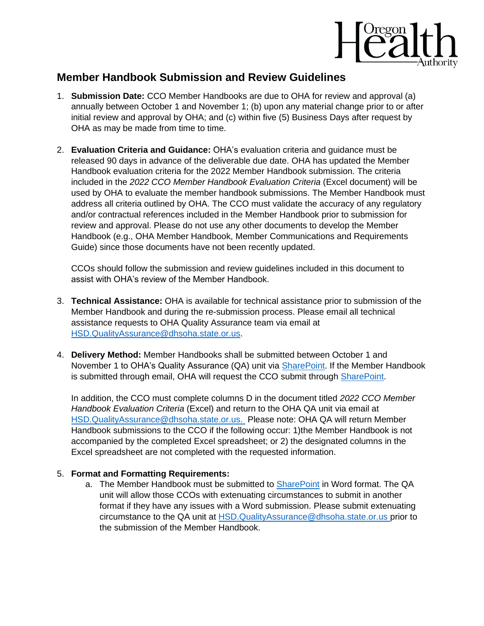

## **Member Handbook Submission and Review Guidelines**

- 1. **Submission Date:** CCO Member Handbooks are due to OHA for review and approval (a) annually between October 1 and November 1; (b) upon any material change prior to or after initial review and approval by OHA; and (c) within five (5) Business Days after request by OHA as may be made from time to time.
- 2. **Evaluation Criteria and Guidance:** OHA's evaluation criteria and guidance must be released 90 days in advance of the deliverable due date. OHA has updated the Member Handbook evaluation criteria for the 2022 Member Handbook submission. The criteria included in the *2022 CCO Member Handbook Evaluation Criteria* (Excel document) will be used by OHA to evaluate the member handbook submissions. The Member Handbook must address all criteria outlined by OHA. The CCO must validate the accuracy of any regulatory and/or contractual references included in the Member Handbook prior to submission for review and approval. Please do not use any other documents to develop the Member Handbook (e.g., OHA Member Handbook, Member Communications and Requirements Guide) since those documents have not been recently updated.

CCOs should follow the submission and review guidelines included in this document to assist with OHA's review of the Member Handbook.

- 3. **Technical Assistance:** OHA is available for technical assistance prior to submission of the Member Handbook and during the re-submission process. Please email all technical assistance requests to OHA Quality Assurance team via email at [HSD.QualityAssurance@dhsoha.state.or.us.](mailto:HSD.QualityAssurance@dhsoha.state.or.us)
- 4. **Delivery Method:** Member Handbooks shall be submitted between October 1 and November 1 to OHA's Quality Assurance (QA) unit via [SharePoint.](https://teams.dhsoha.state.or.us/oha/HSDInfoPublications/SitePages/Home.aspx) If the Member Handbook is submitted through email, OHA will request the CCO submit through [SharePoint.](https://teams.dhsoha.state.or.us/oha/HSDInfoPublications/SitePages/Home.aspx)

In addition, the CCO must complete columns D in the document titled *2022 CCO Member Handbook Evaluation Criteria* (Excel) and return to the OHA QA unit via email at [HSD.QualityAssurance@dhsoha.state.or.us.](mailto:HSD.QualityAssurance@dhsoha.state.or.us) Please note: OHA QA will return Member Handbook submissions to the CCO if the following occur: 1)the Member Handbook is not accompanied by the completed Excel spreadsheet; or 2) the designated columns in the Excel spreadsheet are not completed with the requested information.

## 5. **Format and Formatting Requirements:**

a. The Member Handbook must be submitted to [SharePoint](https://teams.dhsoha.state.or.us/oha/HSDInfoPublications/SitePages/Home.aspx) in Word format. The QA unit will allow those CCOs with extenuating circumstances to submit in another format if they have any issues with a Word submission. Please submit extenuating circumstance to the QA unit at [HSD.QualityAssurance@dhsoha.state.or.us](mailto:HSD.QualityAssurance@dhsoha.state.or.us) prior to the submission of the Member Handbook.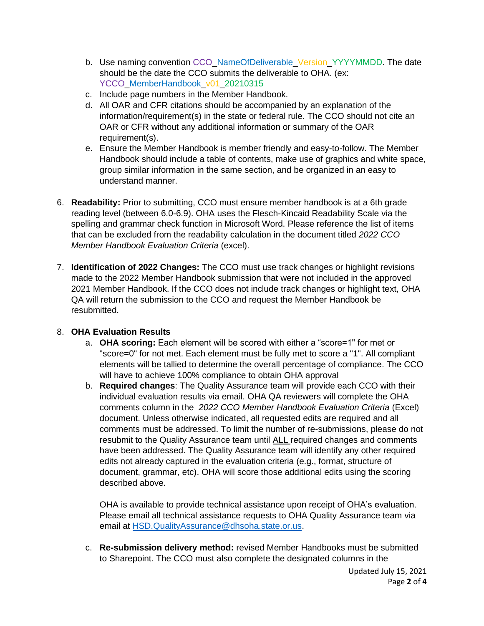- b. Use naming convention CCO\_NameOfDeliverable\_Version\_YYYYMMDD. The date should be the date the CCO submits the deliverable to OHA. (ex: YCCO\_MemberHandbook\_v01\_20210315
- c. Include page numbers in the Member Handbook.
- d. All OAR and CFR citations should be accompanied by an explanation of the information/requirement(s) in the state or federal rule. The CCO should not cite an OAR or CFR without any additional information or summary of the OAR requirement(s).
- e. Ensure the Member Handbook is member friendly and easy-to-follow. The Member Handbook should include a table of contents, make use of graphics and white space, group similar information in the same section, and be organized in an easy to understand manner.
- 6. **Readability:** Prior to submitting, CCO must ensure member handbook is at a 6th grade reading level (between 6.0-6.9). OHA uses the Flesch-Kincaid Readability Scale via the spelling and grammar check function in Microsoft Word. Please reference the list of items that can be excluded from the readability calculation in the document titled *2022 CCO Member Handbook Evaluation Criteria* (excel).
- 7. **Identification of 2022 Changes:** The CCO must use track changes or highlight revisions made to the 2022 Member Handbook submission that were not included in the approved 2021 Member Handbook. If the CCO does not include track changes or highlight text, OHA QA will return the submission to the CCO and request the Member Handbook be resubmitted.

## 8. **OHA Evaluation Results**

- a. **OHA scoring:** Each element will be scored with either a "score=1" for met or "score=0" for not met. Each element must be fully met to score a "1". All compliant elements will be tallied to determine the overall percentage of compliance. The CCO will have to achieve 100% compliance to obtain OHA approval
- b. **Required changes**: The Quality Assurance team will provide each CCO with their individual evaluation results via email. OHA QA reviewers will complete the OHA comments column in the *2022 CCO Member Handbook Evaluation Criteria* (Excel) document. Unless otherwise indicated, all requested edits are required and all comments must be addressed. To limit the number of re-submissions, please do not resubmit to the Quality Assurance team until ALL required changes and comments have been addressed. The Quality Assurance team will identify any other required edits not already captured in the evaluation criteria (e.g., format, structure of document, grammar, etc). OHA will score those additional edits using the scoring described above.

OHA is available to provide technical assistance upon receipt of OHA's evaluation. Please email all technical assistance requests to OHA Quality Assurance team via email at [HSD.QualityAssurance@dhsoha.state.or.us.](mailto:HSD.QualityAssurance@dhsoha.state.or.us)

c. **Re-submission delivery method:** revised Member Handbooks must be submitted to Sharepoint. The CCO must also complete the designated columns in the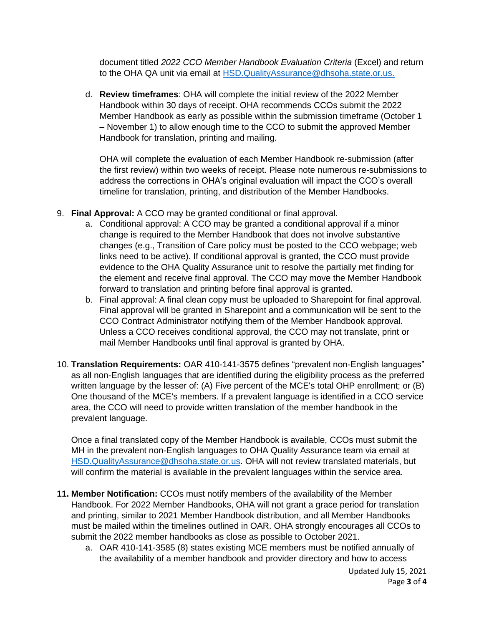document titled *2022 CCO Member Handbook Evaluation Criteria* (Excel) and return to the OHA QA unit via email at [HSD.QualityAssurance@dhsoha.state.or.us.](mailto:HSD.QualityAssurance@dhsoha.state.or.us)

d. **Review timeframes**: OHA will complete the initial review of the 2022 Member Handbook within 30 days of receipt. OHA recommends CCOs submit the 2022 Member Handbook as early as possible within the submission timeframe (October 1 – November 1) to allow enough time to the CCO to submit the approved Member Handbook for translation, printing and mailing.

OHA will complete the evaluation of each Member Handbook re-submission (after the first review) within two weeks of receipt. Please note numerous re-submissions to address the corrections in OHA's original evaluation will impact the CCO's overall timeline for translation, printing, and distribution of the Member Handbooks.

- 9. **Final Approval:** A CCO may be granted conditional or final approval.
	- a. Conditional approval: A CCO may be granted a conditional approval if a minor change is required to the Member Handbook that does not involve substantive changes (e.g., Transition of Care policy must be posted to the CCO webpage; web links need to be active). If conditional approval is granted, the CCO must provide evidence to the OHA Quality Assurance unit to resolve the partially met finding for the element and receive final approval. The CCO may move the Member Handbook forward to translation and printing before final approval is granted.
	- b. Final approval: A final clean copy must be uploaded to Sharepoint for final approval. Final approval will be granted in Sharepoint and a communication will be sent to the CCO Contract Administrator notifying them of the Member Handbook approval. Unless a CCO receives conditional approval, the CCO may not translate, print or mail Member Handbooks until final approval is granted by OHA.
- 10. **Translation Requirements:** OAR 410-141-3575 defines "prevalent non-English languages" as all non-English languages that are identified during the eligibility process as the preferred written language by the lesser of: (A) Five percent of the MCE's total OHP enrollment; or (B) One thousand of the MCE's members. If a prevalent language is identified in a CCO service area, the CCO will need to provide written translation of the member handbook in the prevalent language.

Once a final translated copy of the Member Handbook is available, CCOs must submit the MH in the prevalent non-English languages to OHA Quality Assurance team via email at [HSD.QualityAssurance@dhsoha.state.or.us.](mailto:HSD.QualityAssurance@dhsoha.state.or.us) OHA will not review translated materials, but will confirm the material is available in the prevalent languages within the service area.

- **11. Member Notification:** CCOs must notify members of the availability of the Member Handbook. For 2022 Member Handbooks, OHA will not grant a grace period for translation and printing, similar to 2021 Member Handbook distribution, and all Member Handbooks must be mailed within the timelines outlined in OAR. OHA strongly encourages all CCOs to submit the 2022 member handbooks as close as possible to October 2021.
	- a. OAR 410-141-3585 (8) states existing MCE members must be notified annually of the availability of a member handbook and provider directory and how to access